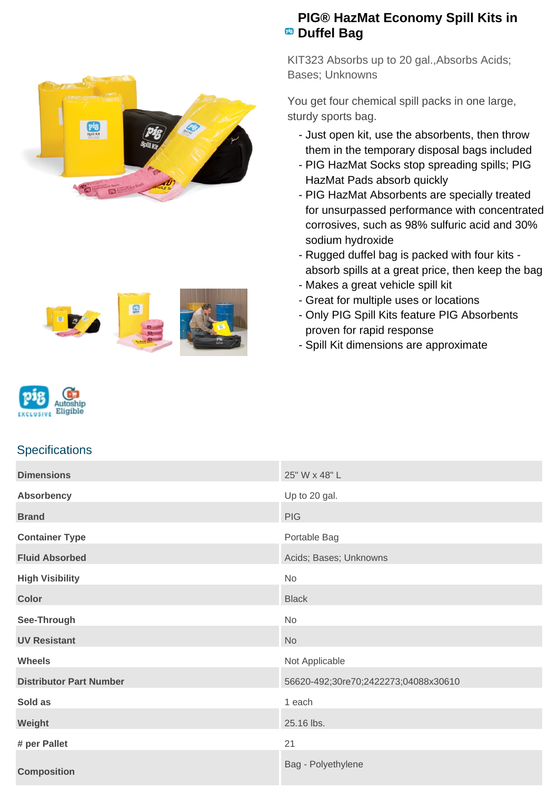



## **PIG® HazMat Economy Spill Kits in PB** Duffel Bag

KIT323 Absorbs up to 20 gal.,Absorbs Acids; Bases; Unknowns

You get four chemical spill packs in one large, sturdy sports bag.

- Just open kit, use the absorbents, then throw them in the temporary disposal bags included
- PIG HazMat Socks stop spreading spills; PIG HazMat Pads absorb quickly
- PIG HazMat Absorbents are specially treated for unsurpassed performance with concentrated corrosives, such as 98% sulfuric acid and 30% sodium hydroxide
- Rugged duffel bag is packed with four kits absorb spills at a great price, then keep the bag
- Makes a great vehicle spill kit
- Great for multiple uses or locations
- Only PIG Spill Kits feature PIG Absorbents proven for rapid response
- Spill Kit dimensions are approximate



## **Specifications**

| <b>Dimensions</b>              | 25" W x 48" L                        |
|--------------------------------|--------------------------------------|
| <b>Absorbency</b>              | Up to 20 gal.                        |
| <b>Brand</b>                   | <b>PIG</b>                           |
| <b>Container Type</b>          | Portable Bag                         |
| <b>Fluid Absorbed</b>          | Acids; Bases; Unknowns               |
| <b>High Visibility</b>         | No                                   |
| <b>Color</b>                   | <b>Black</b>                         |
| See-Through                    | No                                   |
| <b>UV Resistant</b>            | No                                   |
| <b>Wheels</b>                  | Not Applicable                       |
| <b>Distributor Part Number</b> | 56620-492;30re70;2422273;04088x30610 |
| Sold as                        | 1 each                               |
| Weight                         | 25.16 lbs.                           |
| # per Pallet                   | 21                                   |
| <b>Composition</b>             | Bag - Polyethylene                   |